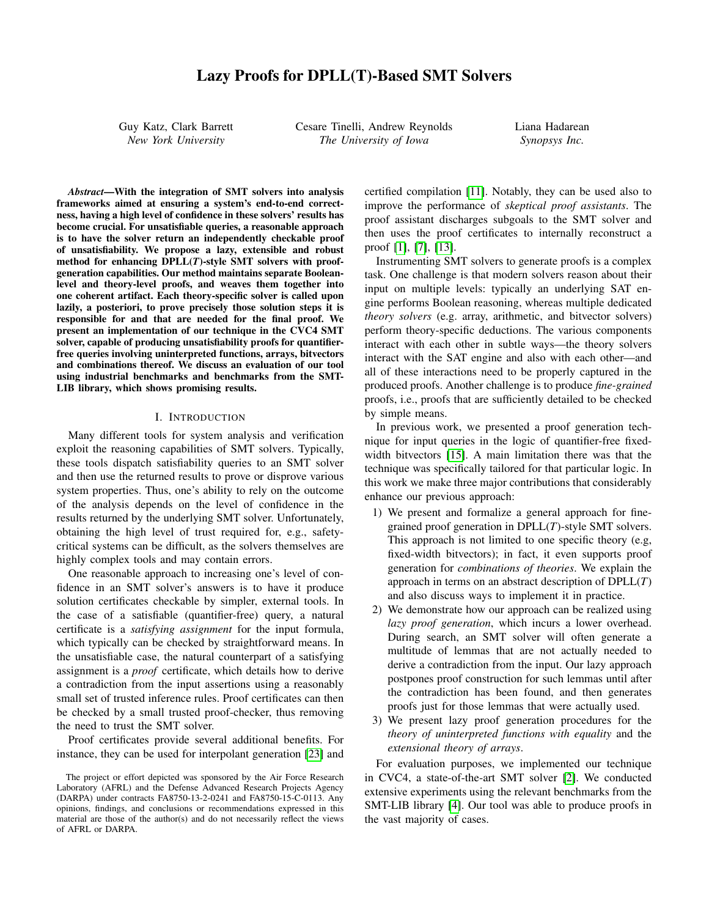Guy Katz, Clark Barrett *New York University*

Cesare Tinelli, Andrew Reynolds *The University of Iowa*

Liana Hadarean *Synopsys Inc.*

*Abstract*—With the integration of SMT solvers into analysis frameworks aimed at ensuring a system's end-to-end correctness, having a high level of confidence in these solvers' results has become crucial. For unsatisfiable queries, a reasonable approach is to have the solver return an independently checkable proof of unsatisfiability. We propose a lazy, extensible and robust method for enhancing DPLL(*T*)-style SMT solvers with proofgeneration capabilities. Our method maintains separate Booleanlevel and theory-level proofs, and weaves them together into one coherent artifact. Each theory-specific solver is called upon lazily, a posteriori, to prove precisely those solution steps it is responsible for and that are needed for the final proof. We present an implementation of our technique in the CVC4 SMT solver, capable of producing unsatisfiability proofs for quantifierfree queries involving uninterpreted functions, arrays, bitvectors and combinations thereof. We discuss an evaluation of our tool using industrial benchmarks and benchmarks from the SMT-LIB library, which shows promising results.

### I. INTRODUCTION

Many different tools for system analysis and verification exploit the reasoning capabilities of SMT solvers. Typically, these tools dispatch satisfiability queries to an SMT solver and then use the returned results to prove or disprove various system properties. Thus, one's ability to rely on the outcome of the analysis depends on the level of confidence in the results returned by the underlying SMT solver. Unfortunately, obtaining the high level of trust required for, e.g., safetycritical systems can be difficult, as the solvers themselves are highly complex tools and may contain errors.

One reasonable approach to increasing one's level of confidence in an SMT solver's answers is to have it produce solution certificates checkable by simpler, external tools. In the case of a satisfiable (quantifier-free) query, a natural certificate is a *satisfying assignment* for the input formula, which typically can be checked by straightforward means. In the unsatisfiable case, the natural counterpart of a satisfying assignment is a *proof* certificate, which details how to derive a contradiction from the input assertions using a reasonably small set of trusted inference rules. Proof certificates can then be checked by a small trusted proof-checker, thus removing the need to trust the SMT solver.

Proof certificates provide several additional benefits. For instance, they can be used for interpolant generation [\[23\]](#page-7-0) and certified compilation [\[11\]](#page-7-1). Notably, they can be used also to improve the performance of *skeptical proof assistants*. The proof assistant discharges subgoals to the SMT solver and then uses the proof certificates to internally reconstruct a proof [\[1\]](#page-7-2), [\[7\]](#page-7-3), [\[13\]](#page-7-4).

Instrumenting SMT solvers to generate proofs is a complex task. One challenge is that modern solvers reason about their input on multiple levels: typically an underlying SAT engine performs Boolean reasoning, whereas multiple dedicated *theory solvers* (e.g. array, arithmetic, and bitvector solvers) perform theory-specific deductions. The various components interact with each other in subtle ways—the theory solvers interact with the SAT engine and also with each other—and all of these interactions need to be properly captured in the produced proofs. Another challenge is to produce *fine-grained* proofs, i.e., proofs that are sufficiently detailed to be checked by simple means.

In previous work, we presented a proof generation technique for input queries in the logic of quantifier-free fixedwidth bitvectors [\[15\]](#page-7-5). A main limitation there was that the technique was specifically tailored for that particular logic. In this work we make three major contributions that considerably enhance our previous approach:

- 1) We present and formalize a general approach for finegrained proof generation in DPLL(*T*)-style SMT solvers. This approach is not limited to one specific theory (e.g, fixed-width bitvectors); in fact, it even supports proof generation for *combinations of theories*. We explain the approach in terms on an abstract description of DPLL(*T*) and also discuss ways to implement it in practice.
- 2) We demonstrate how our approach can be realized using *lazy proof generation*, which incurs a lower overhead. During search, an SMT solver will often generate a multitude of lemmas that are not actually needed to derive a contradiction from the input. Our lazy approach postpones proof construction for such lemmas until after the contradiction has been found, and then generates proofs just for those lemmas that were actually used.
- 3) We present lazy proof generation procedures for the *theory of uninterpreted functions with equality* and the *extensional theory of arrays*.

For evaluation purposes, we implemented our technique in CVC4, a state-of-the-art SMT solver [\[2\]](#page-7-6). We conducted extensive experiments using the relevant benchmarks from the SMT-LIB library [\[4\]](#page-7-7). Our tool was able to produce proofs in the vast majority of cases.

The project or effort depicted was sponsored by the Air Force Research Laboratory (AFRL) and the Defense Advanced Research Projects Agency (DARPA) under contracts FA8750-13-2-0241 and FA8750-15-C-0113. Any opinions, findings, and conclusions or recommendations expressed in this material are those of the author(s) and do not necessarily reflect the views of AFRL or DARPA.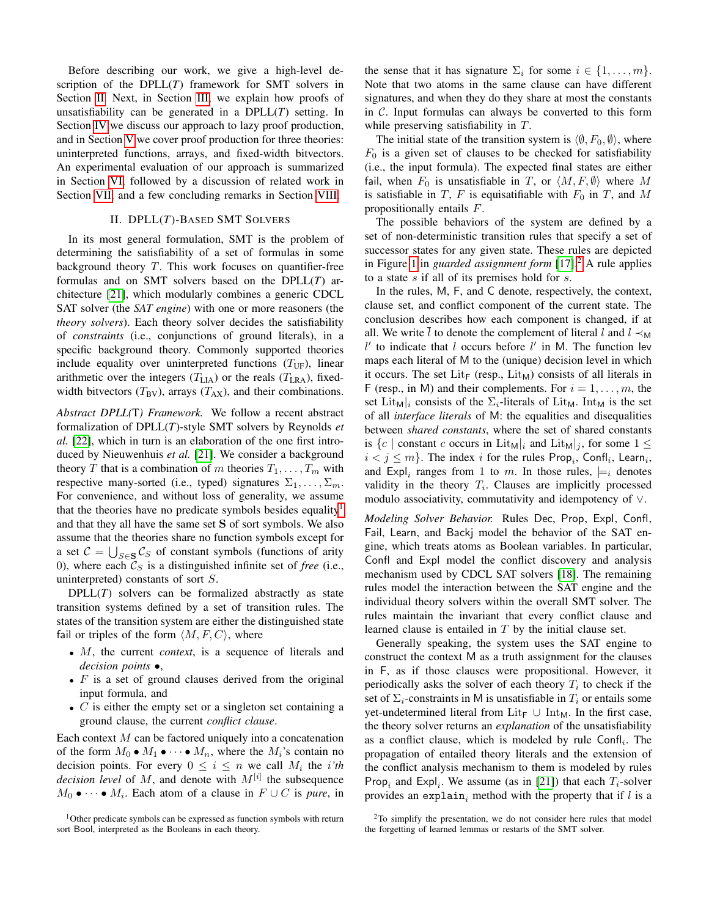Before describing our work, we give a high-level description of the DPLL(*T*) framework for SMT solvers in Section [II.](#page-1-0) Next, in Section [III,](#page-2-0) we explain how proofs of unsatisfiability can be generated in a DPLL(*T*) setting. In Section [IV](#page-4-0) we discuss our approach to lazy proof production, and in Section [V](#page-4-1) we cover proof production for three theories: uninterpreted functions, arrays, and fixed-width bitvectors. An experimental evaluation of our approach is summarized in Section [VI,](#page-6-0) followed by a discussion of related work in Section [VII,](#page-7-8) and a few concluding remarks in Section [VIII.](#page-7-9)

# II. DPLL(*T*)-BASED SMT SOLVERS

<span id="page-1-0"></span>In its most general formulation, SMT is the problem of determining the satisfiability of a set of formulas in some background theory  $T$ . This work focuses on quantifier-free formulas and on SMT solvers based on the DPLL(*T*) architecture [\[21\]](#page-7-10), which modularly combines a generic CDCL SAT solver (the *SAT engine*) with one or more reasoners (the *theory solvers*). Each theory solver decides the satisfiability of *constraints* (i.e., conjunctions of ground literals), in a specific background theory. Commonly supported theories include equality over uninterpreted functions  $(T_{\text{UF}})$ , linear arithmetic over the integers  $(T<sub>LIA</sub>)$  or the reals  $(T<sub>LRA</sub>)$ , fixedwidth bitvectors  $(T_{BV})$ , arrays  $(T_{AX})$ , and their combinations.

*Abstract DPLL(*T*) Framework.* We follow a recent abstract formalization of DPLL(*T*)-style SMT solvers by Reynolds *et al.* [\[22\]](#page-7-11), which in turn is an elaboration of the one first introduced by Nieuwenhuis *et al.* [\[21\]](#page-7-10). We consider a background theory T that is a combination of m theories  $T_1, \ldots, T_m$  with respective many-sorted (i.e., typed) signatures  $\Sigma_1, \ldots, \Sigma_m$ . For convenience, and without loss of generality, we assume that the theories have no predicate symbols besides equality<sup>[1](#page-1-1)</sup> and that they all have the same set S of sort symbols. We also assume that the theories share no function symbols except for a set  $C = \bigcup_{S \in \mathbf{S}} C_S$  of constant symbols (functions of arity 0), where each  $C_S$  is a distinguished infinite set of *free* (i.e., uninterpreted) constants of sort S.

 $DPLL(T)$  solvers can be formalized abstractly as state transition systems defined by a set of transition rules. The states of the transition system are either the distinguished state fail or triples of the form  $\langle M, F, C \rangle$ , where

- M, the current *context*, is a sequence of literals and *decision points* •,
- $\bullet$  F is a set of ground clauses derived from the original input formula, and
- $\bullet$  C is either the empty set or a singleton set containing a ground clause, the current *conflict clause*.

Each context  $M$  can be factored uniquely into a concatenation of the form  $M_0 \bullet M_1 \bullet \cdots \bullet M_n$ , where the  $M_i$ 's contain no decision points. For every  $0 \le i \le n$  we call  $M_i$  the *i'th decision level* of  $M$ , and denote with  $M^{[i]}$  the subsequence  $M_0 \bullet \cdots \bullet M_i$ . Each atom of a clause in  $F \cup C$  is *pure*, in the sense that it has signature  $\Sigma_i$  for some  $i \in \{1, \ldots, m\}$ . Note that two atoms in the same clause can have different signatures, and when they do they share at most the constants in  $C$ . Input formulas can always be converted to this form while preserving satisfiability in T.

The initial state of the transition system is  $\langle \emptyset, F_0, \emptyset \rangle$ , where  $F_0$  is a given set of clauses to be checked for satisfiability (i.e., the input formula). The expected final states are either fail, when  $F_0$  is unsatisfiable in T, or  $\langle M, F, \emptyset \rangle$  where M is satisfiable in T, F is equisatifiable with  $F_0$  in T, and M propositionally entails F.

The possible behaviors of the system are defined by a set of non-deterministic transition rules that specify a set of successor states for any given state. These rules are depicted in Figure [1](#page-2-1) in *guarded assignment form* [\[17\]](#page-7-12).<sup>[2](#page-1-2)</sup> A rule applies to a state s if all of its premises hold for s.

In the rules, M, F, and C denote, respectively, the context, clause set, and conflict component of the current state. The conclusion describes how each component is changed, if at all. We write l to denote the complement of literal l and  $l \prec_M$  $l'$  to indicate that  $l$  occurs before  $l'$  in M. The function lev maps each literal of M to the (unique) decision level in which it occurs. The set Lit<sub>F</sub> (resp., Lit<sub>M</sub>) consists of all literals in F (resp., in M) and their complements. For  $i = 1, \ldots, m$ , the set Lit<sub>M</sub> $\vert_i$  consists of the  $\Sigma_i$ -literals of Lit<sub>M</sub>. Int<sub>M</sub> is the set of all *interface literals* of M: the equalities and disequalities between *shared constants*, where the set of shared constants is  $\{c \mid \text{constant } c \text{ occurs in } \text{Lit}_M\}_{i}$  and  $\text{Lit}_M\vert_{j}$ , for some  $1 \leq$  $i < j \le m$ }. The index i for the rules  $\mathsf{Prop}_i$ , Confl<sub>i</sub>, Learn<sub>i</sub>, and  $\text{Exp}|_i$  ranges from 1 to m. In those rules,  $\models_i$  denotes validity in the theory  $T_i$ . Clauses are implicitly processed modulo associativity, commutativity and idempotency of ∨.

*Modeling Solver Behavior.* Rules Dec, Prop, Expl, Confl, Fail, Learn, and Backj model the behavior of the SAT engine, which treats atoms as Boolean variables. In particular, Confl and Expl model the conflict discovery and analysis mechanism used by CDCL SAT solvers [\[18\]](#page-7-13). The remaining rules model the interaction between the SAT engine and the individual theory solvers within the overall SMT solver. The rules maintain the invariant that every conflict clause and learned clause is entailed in T by the initial clause set.

Generally speaking, the system uses the SAT engine to construct the context M as a truth assignment for the clauses in F, as if those clauses were propositional. However, it periodically asks the solver of each theory  $T_i$  to check if the set of  $\Sigma_i$ -constraints in M is unsatisfiable in  $T_i$  or entails some yet-undetermined literal from Lit<sub>F</sub>  $\cup$  Int<sub>M</sub>. In the first case, the theory solver returns an *explanation* of the unsatisfiability as a conflict clause, which is modeled by rule Confl<sub>i</sub>. The propagation of entailed theory literals and the extension of the conflict analysis mechanism to them is modeled by rules Prop<sub>i</sub> and Expl<sub>i</sub>. We assume (as in [\[21\]](#page-7-10)) that each  $T_i$ -solver provides an explain, method with the property that if  $l$  is a

<span id="page-1-1"></span><sup>1</sup>Other predicate symbols can be expressed as function symbols with return sort Bool, interpreted as the Booleans in each theory.

<span id="page-1-2"></span><sup>2</sup>To simplify the presentation, we do not consider here rules that model the forgetting of learned lemmas or restarts of the SMT solver.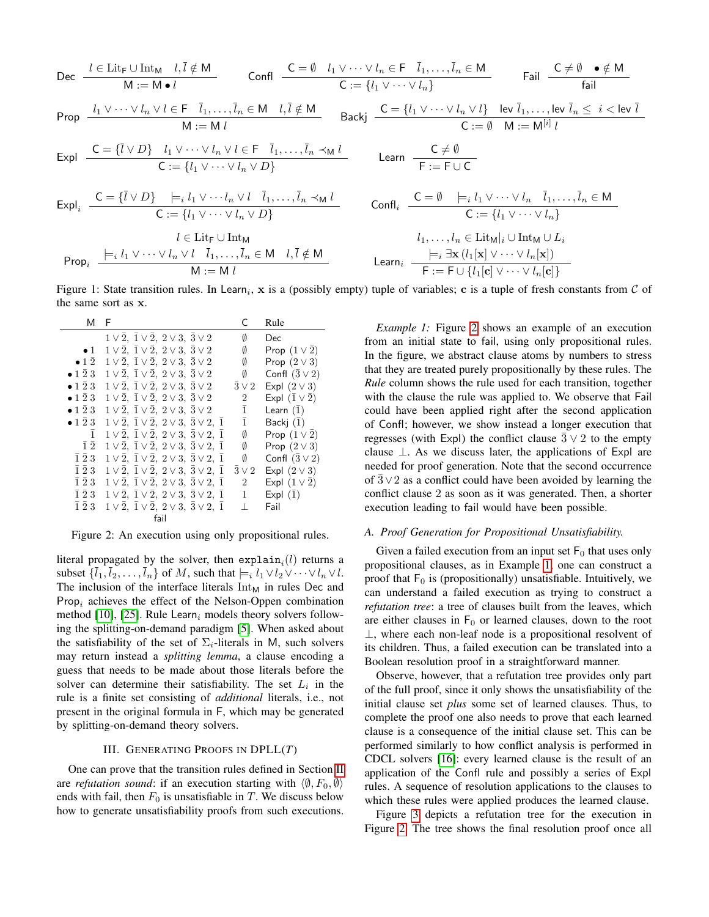<span id="page-2-1"></span>
$$
\begin{array}{llll}\n\text{Dec} & \underbrace{l \in \text{Lit}_{\mathsf{f}} \cup \text{Int}_{\mathsf{M}} \quad l, \overline{l} \notin \mathsf{M}}_{\mathsf{M} \ := \mathsf{M} \bullet \ l} & \text{Confl} & \underbrace{C = \emptyset \quad l_1 \vee \cdots \vee l_n \in \mathsf{F} \quad \overline{l_1}, \ldots, \overline{l_n} \in \mathsf{M}}_{\mathsf{G} \ := \{l_1 \vee \cdots \vee l_n \vee l\}} & \text{Fail} & \underbrace{C \neq \emptyset \bullet \notin \mathsf{M}}_{\text{fail}} \\
\text{Prop} & \underbrace{l_1 \vee \cdots \vee l_n \vee l \in \mathsf{F} \quad \overline{l_1}, \ldots, \overline{l_n} \in \mathsf{M} \quad l, \overline{l} \notin \mathsf{M}}_{\mathsf{M} \ := \mathsf{M} \ l} & \text{Backj} & \underbrace{C = \{l_1 \vee \cdots \vee l_n \vee l\}}_{\mathsf{C} \ := \emptyset} & \text{M} \ := \mathsf{M}^{[i]} \ l} \\
\text{Expl}_i & \underbrace{C = \{\overline{l} \vee D\} \quad l_1 \vee \cdots \vee l_n \vee l \in \mathsf{F} \quad \overline{l_1}, \ldots, \overline{l_n} \prec_{\mathsf{M} \ l} \quad l \text{earn} \quad \overline{C = \emptyset} \quad \overline{l_1} \vee \cdots \vee l_n \quad \overline{l_1}, \ldots, \overline{l_n} \in \mathsf{M}} \\
\text{Expl}_i & \underbrace{C = \{\overline{l} \vee D\} \quad \underset{\mathsf{C} \ := \{l_1 \vee \cdots \vee l_n \vee l \quad \overline{l_1}, \ldots, \overline{l_n} \prec_{\mathsf{M} \ l} \quad l \text{earn} \quad l, \ldots, \underbrace{C = \emptyset} \quad \underset{\mathsf{C} \ := \{l_1 \vee \cdots \vee l_n \quad \overline{l_1}, \ldots, \overline{l_n} \in \mathsf{M}}{C} \\
\text{Prop}_i & \underbrace{l \in \text{Lit}_{\mathsf{
$$

Figure 1: State transition rules. In Learn<sub>i</sub>, x is a (possibly empty) tuple of variables; c is a tuple of fresh constants from  $C$  of the same sort as x.

<span id="page-2-2"></span>

| М                             | F                                                                                                              | C              | Rule                          |  |  |
|-------------------------------|----------------------------------------------------------------------------------------------------------------|----------------|-------------------------------|--|--|
|                               | $1 \vee \overline{2}$ , $\overline{1} \vee \overline{2}$ , $2 \vee 3$ , $\overline{3} \vee 2$                  | Ø              | Dec                           |  |  |
| $\bullet$ 1                   | $1 \vee \overline{2}$ , $\overline{1} \vee \overline{2}$ , $2 \vee 3$ , $\overline{3} \vee 2$                  | Ø              | Prop $(1 \vee 2)$             |  |  |
| $\bullet$ 1 $\overline{2}$    | $1 \vee \overline{2}$ , $\overline{1} \vee \overline{2}$ , $2 \vee 3$ , $\overline{3} \vee 2$                  | Ø              | Prop $(2 \vee 3)$             |  |  |
| $\bullet$ 1 $\overline{2}$ 3  | $1 \vee \overline{2}$ , $\overline{1} \vee \overline{2}$ , $2 \vee 3$ , $\overline{3} \vee 2$                  | Ø              | Confl $(\bar{3} \vee 2)$      |  |  |
| $\bullet$ 1 $\overline{2}$ 3  | $1 \vee \overline{2}$ , $\overline{1} \vee \overline{2}$ , $2 \vee 3$ , $\overline{3} \vee 2$                  | $3 \vee 2$     | Expl $(2 \vee 3)$             |  |  |
| $\bullet$ 1 $\overline{2}$ 3  | $1 \vee \overline{2}$ , $\overline{1} \vee \overline{2}$ , $2 \vee 3$ , $\overline{3} \vee 2$                  | $\overline{2}$ | Expl $(\bar{1} \vee \bar{2})$ |  |  |
| $\bullet$ 1 $\overline{2}$ 3  | $1 \vee \overline{2}$ , $\overline{1} \vee \overline{2}$ , $2 \vee 3$ , $\overline{3} \vee 2$                  | ī              | Learn $(1)$                   |  |  |
| $\bullet 1\bar{2}3$           | $1 \vee \overline{2}$ , $\overline{1} \vee \overline{2}$ , $2 \vee 3$ , $\overline{3} \vee 2$ , $\overline{1}$ | $\overline{1}$ | Backj $(1)$                   |  |  |
| $\overline{1}$                | $1 \vee \overline{2}$ , $\overline{1} \vee \overline{2}$ , $2 \vee 3$ , $\overline{3} \vee 2$ , $\overline{1}$ | Ø              | Prop $(1 \vee 2)$             |  |  |
| $\overline{1}$ $\overline{2}$ | $1 \vee 2$ , $1 \vee 2$ , $2 \vee 3$ , $3 \vee 2$ , $1$                                                        | Ø              | Prop $(2 \vee 3)$             |  |  |
| $\bar{1}$ $\bar{2}$ 3         | $1 \vee 2$ , $1 \vee 2$ , $2 \vee 3$ , $3 \vee 2$ , 1                                                          | Ø              | Confl $(3 \vee 2)$            |  |  |
| $\bar{1}\bar{2}3$             | $1 \vee \overline{2}$ , $\overline{1} \vee \overline{2}$ , $2 \vee 3$ , $\overline{3} \vee 2$ , $\overline{1}$ | $3 \vee 2$     | Expl $(2 \vee 3)$             |  |  |
| $\bar{1}$ $\bar{2}$ 3         | $1 \vee 2$ , $1 \vee 2$ , $2 \vee 3$ , $3 \vee 2$ , 1                                                          | $\overline{2}$ | Expl $(1 \vee 2)$             |  |  |
| $\bar{1}\bar{2}3$             | $1 \vee 2$ , $1 \vee 2$ , $2 \vee 3$ , $3 \vee 2$ , 1                                                          | $\mathbf{1}$   | Expl $(1)$                    |  |  |
| $\bar{1}\bar{2}3$             | $1 \vee \overline{2}$ , $\overline{1} \vee \overline{2}$ , $2 \vee 3$ , $\overline{3} \vee 2$ , $\overline{1}$ | $\perp$        | Fail                          |  |  |
| fail                          |                                                                                                                |                |                               |  |  |

Figure 2: An execution using only propositional rules.

literal propagated by the solver, then  $explan_i(l)$  returns a subset  $\{\bar{l}_1, \bar{l}_2, \ldots, \bar{l}_n\}$  of M, such that  $\models_i l_1 \vee l_2 \vee \cdots \vee l_n \vee l$ . The inclusion of the interface literals  $Int_M$  in rules Dec and Prop<sub>i</sub> achieves the effect of the Nelson-Oppen combination method [\[10\]](#page-7-14), [\[25\]](#page-7-15). Rule Learn<sub>i</sub> models theory solvers following the splitting-on-demand paradigm [\[5\]](#page-7-16). When asked about the satisfiability of the set of  $\Sigma_i$ -literals in M, such solvers may return instead a *splitting lemma*, a clause encoding a guess that needs to be made about those literals before the solver can determine their satisfiability. The set  $L_i$  in the rule is a finite set consisting of *additional* literals, i.e., not present in the original formula in F, which may be generated by splitting-on-demand theory solvers.

# III. GENERATING PROOFS IN DPLL(*T*)

<span id="page-2-3"></span><span id="page-2-0"></span>One can prove that the transition rules defined in Section [II](#page-1-0) are *refutation sound*: if an execution starting with  $\langle \emptyset, F_0, \emptyset \rangle$ ends with fail, then  $F_0$  is unsatisfiable in T. We discuss below how to generate unsatisfiability proofs from such executions.

*Example 1:* Figure [2](#page-2-2) shows an example of an execution from an initial state to fail, using only propositional rules. In the figure, we abstract clause atoms by numbers to stress that they are treated purely propositionally by these rules. The *Rule* column shows the rule used for each transition, together with the clause the rule was applied to. We observe that Fail could have been applied right after the second application of Confl; however, we show instead a longer execution that regresses (with Expl) the conflict clause  $\bar{3} \vee 2$  to the empty clause  $\perp$ . As we discuss later, the applications of Expl are needed for proof generation. Note that the second occurrence of  $\bar{3}$ ∨2 as a conflict could have been avoided by learning the conflict clause 2 as soon as it was generated. Then, a shorter execution leading to fail would have been possible.

### *A. Proof Generation for Propositional Unsatisfiability.*

Given a failed execution from an input set  $F_0$  that uses only propositional clauses, as in Example [1,](#page-2-3) one can construct a proof that  $F_0$  is (propositionally) unsatisfiable. Intuitively, we can understand a failed execution as trying to construct a *refutation tree*: a tree of clauses built from the leaves, which are either clauses in  $F_0$  or learned clauses, down to the root ⊥, where each non-leaf node is a propositional resolvent of its children. Thus, a failed execution can be translated into a Boolean resolution proof in a straightforward manner.

Observe, however, that a refutation tree provides only part of the full proof, since it only shows the unsatisfiability of the initial clause set *plus* some set of learned clauses. Thus, to complete the proof one also needs to prove that each learned clause is a consequence of the initial clause set. This can be performed similarly to how conflict analysis is performed in CDCL solvers [\[16\]](#page-7-17): every learned clause is the result of an application of the Confl rule and possibly a series of Expl rules. A sequence of resolution applications to the clauses to which these rules were applied produces the learned clause.

Figure [3](#page-3-0) depicts a refutation tree for the execution in Figure [2.](#page-2-2) The tree shows the final resolution proof once all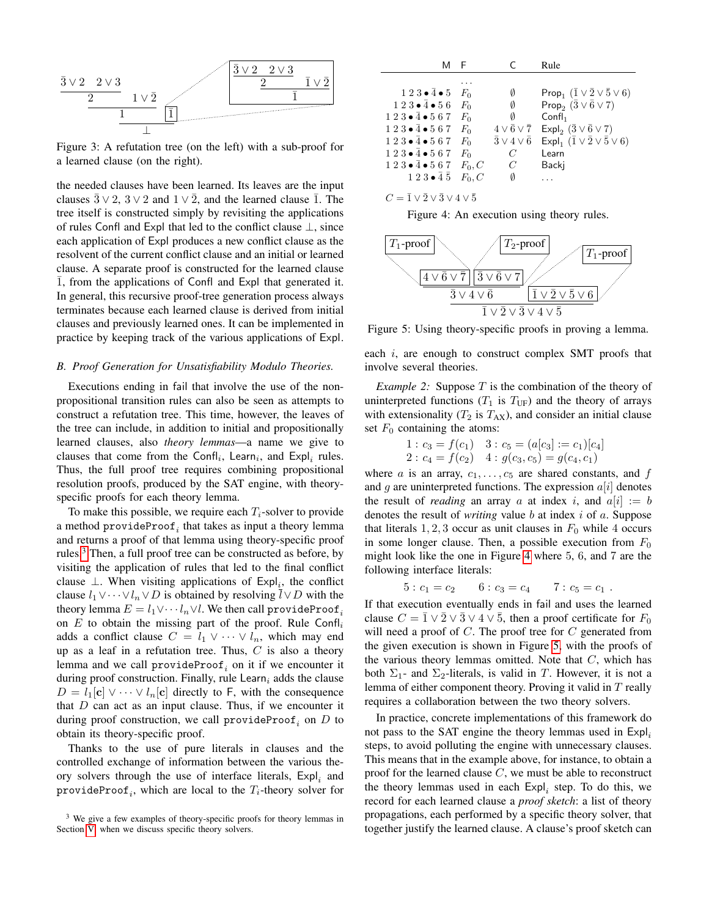<span id="page-3-0"></span>

Figure 3: A refutation tree (on the left) with a sub-proof for a learned clause (on the right).

the needed clauses have been learned. Its leaves are the input clauses  $\bar{3} \vee 2$ ,  $3 \vee 2$  and  $1 \vee \bar{2}$ , and the learned clause  $\bar{1}$ . The tree itself is constructed simply by revisiting the applications of rules Confl and Expl that led to the conflict clause ⊥, since each application of Expl produces a new conflict clause as the resolvent of the current conflict clause and an initial or learned clause. A separate proof is constructed for the learned clause  $\overline{1}$ , from the applications of Confl and Expl that generated it. In general, this recursive proof-tree generation process always terminates because each learned clause is derived from initial clauses and previously learned ones. It can be implemented in practice by keeping track of the various applications of Expl.

### *B. Proof Generation for Unsatisfiability Modulo Theories.*

Executions ending in fail that involve the use of the nonpropositional transition rules can also be seen as attempts to construct a refutation tree. This time, however, the leaves of the tree can include, in addition to initial and propositionally learned clauses, also *theory lemmas*—a name we give to clauses that come from the Confl<sub>i</sub>, Learn<sub>i</sub>, and  $\text{Expl}_i$  rules. Thus, the full proof tree requires combining propositional resolution proofs, produced by the SAT engine, with theoryspecific proofs for each theory lemma.

To make this possible, we require each  $T_i$ -solver to provide a method provideProo $\boldsymbol{\mathrm{f}}_i$  that takes as input a theory lemma and returns a proof of that lemma using theory-specific proof rules.<sup>[3](#page-3-1)</sup> Then, a full proof tree can be constructed as before, by visiting the application of rules that led to the final conflict clause  $\perp$ . When visiting applications of  $Expl_i$ , the conflict clause  $l_1 \vee \cdots \vee l_n \vee D$  is obtained by resolving  $l \vee D$  with the theory lemma  $E = l_1 \vee \cdots l_n \vee l$ . We then call provideProof<sub>i</sub> on  $E$  to obtain the missing part of the proof. Rule Confl<sub>i</sub> adds a conflict clause  $C = l_1 \vee \cdots \vee l_n$ , which may end up as a leaf in a refutation tree. Thus,  $C$  is also a theory lemma and we call provideProof<sub>i</sub> on it if we encounter it during proof construction. Finally, rule Learn<sub>i</sub> adds the clause  $D = l_1[c] \vee \cdots \vee l_n[c]$  directly to F, with the consequence that  $D$  can act as an input clause. Thus, if we encounter it during proof construction, we call provideProof<sub>i</sub> on  $D$  to obtain its theory-specific proof.

Thanks to the use of pure literals in clauses and the controlled exchange of information between the various theory solvers through the use of interface literals,  $\text{Expl}_i$  and  $\texttt{provideProof}_i$ , which are local to the  $T_i\text{-theory}$  solver for

<span id="page-3-2"></span>

| M F                                                |       |                               | Rule                                                                          |
|----------------------------------------------------|-------|-------------------------------|-------------------------------------------------------------------------------|
|                                                    |       |                               |                                                                               |
| $1\,2\,3\bullet\bar{4}\bullet 5$ $F_0$             |       | Ø                             | Prop <sub>1</sub> $(\bar{1} \vee \bar{2} \vee \bar{5} \vee 6)$                |
| $123 \bullet \bar{4} \bullet 56$ $F_0$             |       | Ø                             | Prop <sub>2</sub> $(\bar{3} \vee \bar{6} \vee 7)$                             |
| $123 \bullet \bar{4} \bullet 567$ $F_0$            |       | Ø                             | Confl <sub>1</sub>                                                            |
| $123 \bullet \bar{4} \bullet 567$ $F_0$            |       | $4 \vee \bar{6} \vee \bar{7}$ | Expl <sub>2</sub> $(\bar{3} \vee \bar{6} \vee 7)$                             |
| $123 \cdot 4 \cdot 567$                            | $F_0$ | $\bar{3} \vee 4 \vee \bar{6}$ | Expl <sub>1</sub> $(\overline{1} \vee \overline{2} \vee \overline{5} \vee 6)$ |
| $123 \cdot 4 \cdot 567$                            | $F_0$ | $\,C$                         | Learn                                                                         |
| $1\ 2\ 3 \bullet \bar{4} \bullet 5\ 6\ 7$ $F_0, C$ |       | C                             | Backi                                                                         |
| $1\ 2\ 3 \bullet \bar{4} \ \bar{5}$ $F_0, C$       |       | Ø                             |                                                                               |

 $C = \overline{1} \vee \overline{2} \vee \overline{3} \vee 4 \vee \overline{5}$ 

Figure 4: An execution using theory rules.

<span id="page-3-3"></span>

Figure 5: Using theory-specific proofs in proving a lemma.

each i, are enough to construct complex SMT proofs that involve several theories.

*Example 2:* Suppose T is the combination of the theory of uninterpreted functions  $(T_1$  is  $T_{\text{UF}})$  and the theory of arrays with extensionality ( $T_2$  is  $T_{AX}$ ), and consider an initial clause set  $F_0$  containing the atoms:

1: 
$$
c_3 = f(c_1)
$$
 3:  $c_5 = (a[c_3] := c_1)[c_4]$   
2:  $c_4 = f(c_2)$  4:  $g(c_3, c_5) = g(c_4, c_1)$ 

where a is an array,  $c_1, \ldots, c_5$  are shared constants, and f and g are uninterpreted functions. The expression  $a[i]$  denotes the result of *reading* an array a at index i, and  $a[i] := b$ denotes the result of *writing* value *b* at index *i* of *a*. Suppose that literals 1, 2, 3 occur as unit clauses in  $F_0$  while 4 occurs in some longer clause. Then, a possible execution from  $F_0$ might look like the one in Figure [4](#page-3-2) where 5, 6, and 7 are the following interface literals:

$$
5: c_1 = c_2 \qquad 6: c_3 = c_4 \qquad 7: c_5 = c_1 \; .
$$

If that execution eventually ends in fail and uses the learned clause  $C = \overline{1} \vee \overline{2} \vee \overline{3} \vee 4 \vee \overline{5}$ , then a proof certificate for  $F_0$ will need a proof of  $C$ . The proof tree for  $C$  generated from the given execution is shown in Figure [5,](#page-3-3) with the proofs of the various theory lemmas omitted. Note that  $C$ , which has both  $\Sigma_1$ - and  $\Sigma_2$ -literals, is valid in T. However, it is not a lemma of either component theory. Proving it valid in T really requires a collaboration between the two theory solvers.

In practice, concrete implementations of this framework do not pass to the SAT engine the theory lemmas used in  $\text{Expl}_i$ steps, to avoid polluting the engine with unnecessary clauses. This means that in the example above, for instance, to obtain a proof for the learned clause  $C$ , we must be able to reconstruct the theory lemmas used in each  $\text{Expl}_i$  step. To do this, we record for each learned clause a *proof sketch*: a list of theory propagations, each performed by a specific theory solver, that together justify the learned clause. A clause's proof sketch can

<span id="page-3-1"></span><sup>&</sup>lt;sup>3</sup> We give a few examples of theory-specific proofs for theory lemmas in Section [V,](#page-4-1) when we discuss specific theory solvers.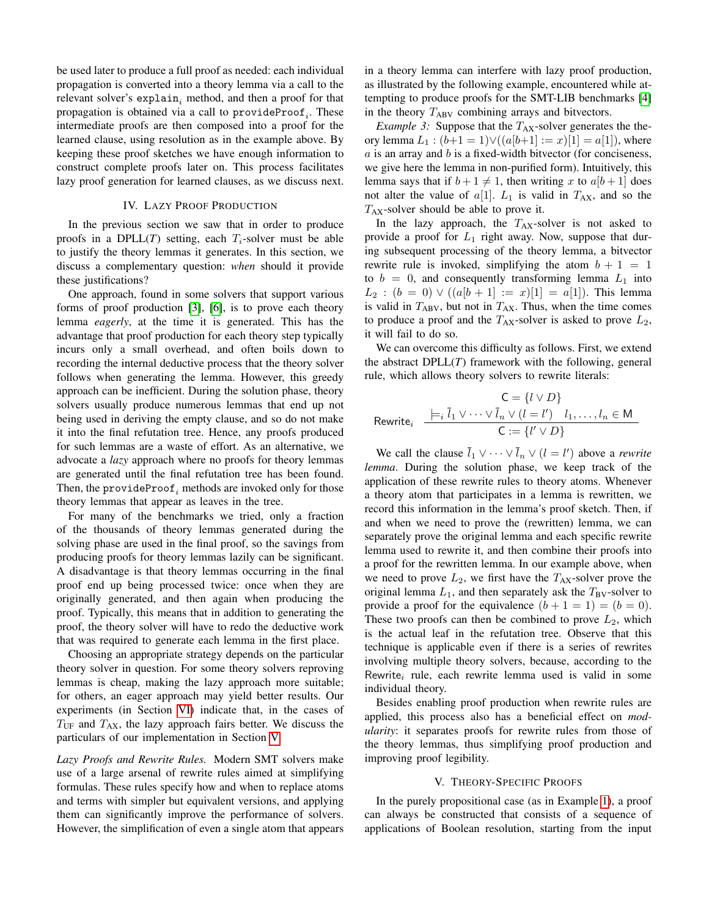be used later to produce a full proof as needed: each individual propagation is converted into a theory lemma via a call to the relevant solver's explain, method, and then a proof for that propagation is obtained via a call to  $\mathsf{provideProof}_i$ . These intermediate proofs are then composed into a proof for the learned clause, using resolution as in the example above. By keeping these proof sketches we have enough information to construct complete proofs later on. This process facilitates lazy proof generation for learned clauses, as we discuss next.

# IV. LAZY PROOF PRODUCTION

<span id="page-4-0"></span>In the previous section we saw that in order to produce proofs in a DPLL $(T)$  setting, each  $T_i$ -solver must be able to justify the theory lemmas it generates. In this section, we discuss a complementary question: *when* should it provide these justifications?

One approach, found in some solvers that support various forms of proof production [\[3\]](#page-7-18), [\[6\]](#page-7-19), is to prove each theory lemma *eagerly*, at the time it is generated. This has the advantage that proof production for each theory step typically incurs only a small overhead, and often boils down to recording the internal deductive process that the theory solver follows when generating the lemma. However, this greedy approach can be inefficient. During the solution phase, theory solvers usually produce numerous lemmas that end up not being used in deriving the empty clause, and so do not make it into the final refutation tree. Hence, any proofs produced for such lemmas are a waste of effort. As an alternative, we advocate a *lazy* approach where no proofs for theory lemmas are generated until the final refutation tree has been found. Then, the provideProof, methods are invoked only for those theory lemmas that appear as leaves in the tree.

For many of the benchmarks we tried, only a fraction of the thousands of theory lemmas generated during the solving phase are used in the final proof, so the savings from producing proofs for theory lemmas lazily can be significant. A disadvantage is that theory lemmas occurring in the final proof end up being processed twice: once when they are originally generated, and then again when producing the proof. Typically, this means that in addition to generating the proof, the theory solver will have to redo the deductive work that was required to generate each lemma in the first place.

Choosing an appropriate strategy depends on the particular theory solver in question. For some theory solvers reproving lemmas is cheap, making the lazy approach more suitable; for others, an eager approach may yield better results. Our experiments (in Section [VI\)](#page-6-0) indicate that, in the cases of  $T_{\text{UF}}$  and  $T_{\text{AX}}$ , the lazy approach fairs better. We discuss the particulars of our implementation in Section [V.](#page-4-1)

*Lazy Proofs and Rewrite Rules.* Modern SMT solvers make use of a large arsenal of rewrite rules aimed at simplifying formulas. These rules specify how and when to replace atoms and terms with simpler but equivalent versions, and applying them can significantly improve the performance of solvers. However, the simplification of even a single atom that appears in a theory lemma can interfere with lazy proof production, as illustrated by the following example, encountered while attempting to produce proofs for the SMT-LIB benchmarks [\[4\]](#page-7-7) in the theory  $T_{\rm ABV}$  combining arrays and bitvectors.

*Example 3:* Suppose that the  $T_{AX}$ -solver generates the theory lemma  $L_1$  :  $(b+1 = 1) \vee ((a[b+1] := x)[1] = a[1])$ , where  $a$  is an array and  $b$  is a fixed-width bitvector (for conciseness, we give here the lemma in non-purified form). Intuitively, this lemma says that if  $b+1 \neq 1$ , then writing x to  $a[b+1]$  does not alter the value of  $a[1]$ .  $L_1$  is valid in  $T_{AX}$ , and so the  $T<sub>AX</sub>$ -solver should be able to prove it.

In the lazy approach, the  $T_{AX}$ -solver is not asked to provide a proof for  $L_1$  right away. Now, suppose that during subsequent processing of the theory lemma, a bitvector rewrite rule is invoked, simplifying the atom  $b + 1 = 1$ to  $b = 0$ , and consequently transforming lemma  $L_1$  into  $L_2$  :  $(b = 0) \vee ((a[b + 1] := x)[1] = a[1])$ . This lemma is valid in  $T_{\rm ABV}$ , but not in  $T_{\rm AX}$ . Thus, when the time comes to produce a proof and the  $T_{AX}$ -solver is asked to prove  $L_2$ , it will fail to do so.

We can overcome this difficulty as follows. First, we extend the abstract DPLL(*T*) framework with the following, general rule, which allows theory solvers to rewrite literals:

$$
C = \{l \lor D\}
$$
  
Rewrite<sub>i</sub>  $\frac{\models_i \overline{l}_1 \lor \dots \lor \overline{l}_n \lor (l = l') \quad l_1, \dots, l_n \in M}{C := \{l' \lor D\}}$ 

We call the clause  $\overline{l}_1 \vee \cdots \vee \overline{l}_n \vee (l = l')$  above a *rewrite lemma*. During the solution phase, we keep track of the application of these rewrite rules to theory atoms. Whenever a theory atom that participates in a lemma is rewritten, we record this information in the lemma's proof sketch. Then, if and when we need to prove the (rewritten) lemma, we can separately prove the original lemma and each specific rewrite lemma used to rewrite it, and then combine their proofs into a proof for the rewritten lemma. In our example above, when we need to prove  $L_2$ , we first have the  $T_{AX}$ -solver prove the original lemma  $L_1$ , and then separately ask the  $T_{\rm BV}$ -solver to provide a proof for the equivalence  $(b + 1 = 1) = (b = 0)$ . These two proofs can then be combined to prove  $L_2$ , which is the actual leaf in the refutation tree. Observe that this technique is applicable even if there is a series of rewrites involving multiple theory solvers, because, according to the Rewrite<sub>i</sub> rule, each rewrite lemma used is valid in some individual theory.

Besides enabling proof production when rewrite rules are applied, this process also has a beneficial effect on *modularity*: it separates proofs for rewrite rules from those of the theory lemmas, thus simplifying proof production and improving proof legibility.

### V. THEORY-SPECIFIC PROOFS

<span id="page-4-1"></span>In the purely propositional case (as in Example [1\)](#page-2-3), a proof can always be constructed that consists of a sequence of applications of Boolean resolution, starting from the input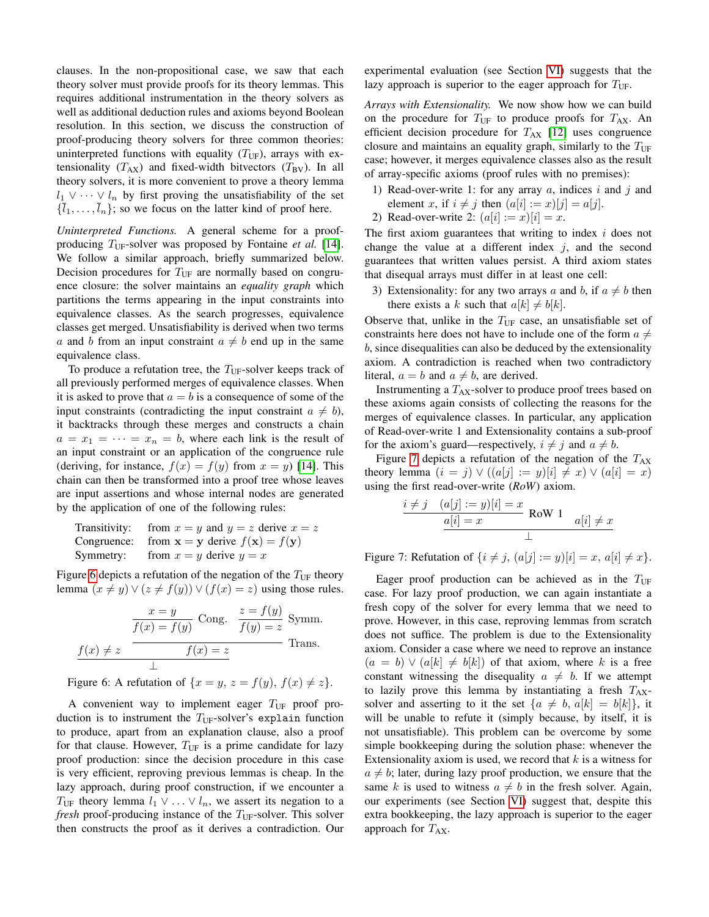clauses. In the non-propositional case, we saw that each theory solver must provide proofs for its theory lemmas. This requires additional instrumentation in the theory solvers as well as additional deduction rules and axioms beyond Boolean resolution. In this section, we discuss the construction of proof-producing theory solvers for three common theories: uninterpreted functions with equality  $(T_{\text{UF}})$ , arrays with extensionality  $(T_{AX})$  and fixed-width bitvectors  $(T_{BY})$ . In all theory solvers, it is more convenient to prove a theory lemma  $l_1 \vee \cdots \vee l_n$  by first proving the unsatisfiability of the set  $\{\bar{l}_1,\ldots,\bar{l}_n\}$ ; so we focus on the latter kind of proof here.

*Uninterpreted Functions.* A general scheme for a proofproducing T<sub>UF</sub>-solver was proposed by Fontaine *et al.* [\[14\]](#page-7-20). We follow a similar approach, briefly summarized below. Decision procedures for  $T_{\text{UF}}$  are normally based on congruence closure: the solver maintains an *equality graph* which partitions the terms appearing in the input constraints into equivalence classes. As the search progresses, equivalence classes get merged. Unsatisfiability is derived when two terms a and b from an input constraint  $a \neq b$  end up in the same equivalence class.

To produce a refutation tree, the  $T_{\text{UF}}$ -solver keeps track of all previously performed merges of equivalence classes. When it is asked to prove that  $a = b$  is a consequence of some of the input constraints (contradicting the input constraint  $a \neq b$ ), it backtracks through these merges and constructs a chain  $a = x_1 = \cdots = x_n = b$ , where each link is the result of an input constraint or an application of the congruence rule (deriving, for instance,  $f(x) = f(y)$  from  $x = y$ ) [\[14\]](#page-7-20). This chain can then be transformed into a proof tree whose leaves are input assertions and whose internal nodes are generated by the application of one of the following rules:

|           | Transitivity: from $x = y$ and $y = z$ derive $x = z$ |
|-----------|-------------------------------------------------------|
|           | Congruence: from $x = y$ derive $f(x) = f(y)$         |
| Symmetry: | from $x = y$ derive $y = x$                           |

<span id="page-5-0"></span>Figure [6](#page-5-0) depicts a refutation of the negation of the  $T_{\text{UF}}$  theory lemma  $(x \neq y) \vee (z \neq f(y)) \vee (f(x) = z)$  using those rules.

$$
\frac{x = y}{f(x) = f(y)} \text{ Cong. } \frac{z = f(y)}{f(y) = z} \text{ Symm.}
$$
  

$$
f(x) \neq z \qquad \qquad f(x) = z \qquad \qquad \text{Trans.}
$$

Figure 6: A refutation of  $\{x = y, z = f(y), f(x) \neq z\}.$ 

A convenient way to implement eager  $T_{\text{UF}}$  proof production is to instrument the  $T_{\text{UF}}$ -solver's explain function to produce, apart from an explanation clause, also a proof for that clause. However,  $T_{\text{UF}}$  is a prime candidate for lazy proof production: since the decision procedure in this case is very efficient, reproving previous lemmas is cheap. In the lazy approach, during proof construction, if we encounter a  $T_{\text{UF}}$  theory lemma  $l_1 \vee \ldots \vee l_n$ , we assert its negation to a *fresh* proof-producing instance of the  $T_{\text{UF}}$ -solver. This solver then constructs the proof as it derives a contradiction. Our experimental evaluation (see Section [VI\)](#page-6-0) suggests that the lazy approach is superior to the eager approach for  $T_{\text{UF}}$ .

*Arrays with Extensionality.* We now show how we can build on the procedure for  $T_{\text{UF}}$  to produce proofs for  $T_{\text{AX}}$ . An efficient decision procedure for  $T_{AX}$  [\[12\]](#page-7-21) uses congruence closure and maintains an equality graph, similarly to the  $T_{\text{UF}}$ case; however, it merges equivalence classes also as the result of array-specific axioms (proof rules with no premises):

- 1) Read-over-write 1: for any array  $a$ , indices  $i$  and  $j$  and element x, if  $i \neq j$  then  $(a[i] := x)[j] = a[j]$ .
- 2) Read-over-write 2:  $(a[i] := x)[i] = x$ .

The first axiom guarantees that writing to index  $i$  does not change the value at a different index  $i$ , and the second guarantees that written values persist. A third axiom states that disequal arrays must differ in at least one cell:

3) Extensionality: for any two arrays a and b, if  $a \neq b$  then there exists a k such that  $a[k] \neq b[k]$ .

Observe that, unlike in the  $T_{\text{UF}}$  case, an unsatisfiable set of constraints here does not have to include one of the form  $a \neq$ b, since disequalities can also be deduced by the extensionality axiom. A contradiction is reached when two contradictory literal,  $a = b$  and  $a \neq b$ , are derived.

Instrumenting a  $T_{AX}$ -solver to produce proof trees based on these axioms again consists of collecting the reasons for the merges of equivalence classes. In particular, any application of Read-over-write 1 and Extensionality contains a sub-proof for the axiom's guard—respectively,  $i \neq j$  and  $a \neq b$ .

<span id="page-5-1"></span>Figure [7](#page-5-1) depicts a refutation of the negation of the  $T_{AX}$ theory lemma  $(i = j) \vee ((a[j] := y)[i] \neq x) \vee (a[i] = x)$ using the first read-over-write (*RoW*) axiom.

$$
\frac{i \neq j \quad (a[j] := y)[i] = x}{\frac{a[i] = x}{\frac{a[i] = x}{\frac{a[i] \neq x}{\frac{a[i] = x}{\frac{a[i] = x}{\frac{a[i] = x}{\frac{a[i] = x}{\frac{a[i] = x}{\frac{a[i] = x}{\frac{a[i] = x}{\frac{a[i] = x}{\frac{a[i] = x}{\frac{a[i] = x}{\frac{a[i] = x}{\frac{a[i] = x}{\frac{a[i] = x}{\frac{a[i] = x}{\frac{a[i] = x}{\frac{a[i] = x}{\frac{a[i] = x}{\frac{a[i] = x}{\frac{a[i] = x}{\frac{a[i] = x}{\frac{a[i] = x}{\frac{a[i] = x}{\frac{a[i] = x}{\frac{a[i] = x}{\frac{a[i] = x}{\frac{a[i] = x}{\frac{a[i] = x}{\frac{a[i] = x}{\frac{a[i] = x}{\frac{a[i] = x}{\frac{a[i] = x}{\frac{a[i] = x}{\frac{a[i] = x}{\frac{a[i] = x}{\frac{a[i] = x}{\frac{a[i] = x}{\frac{a[i] = x}{\frac{a[i] = x}{\frac{a[i] = x}{\frac{a[i] = x}{\frac{a[i] = x}{\frac{a[i] = x}{\frac{a[i] = x}{\frac{a[i] = x}{\frac{a[i] = x}{\frac{a[i] = x}{\frac{a[i] = x}{\frac{a[i] = x}{\frac{a[i] = x}{\frac{a[i] = x}{\frac{a[i] = x}{\frac{a[i] = x}{\frac{a[i] = x}{\frac{a[i] = x}{\frac{a[i] = x}{\frac{a[i] = x}{\frac{a[i] = x}{\frac{a[i] = x}{\frac{a[i] = x}{\frac{a[i] = x}{\frac{a[i] = x}{\frac{a[i] = x}{\frac{a[i] = x}{\frac{a[i] = x}{\frac{a[i] = x}{\frac{a[i] = x}{\frac{a[i] = x}{\frac{a[i] = x}{\frac{a[i] = x}{\frac{a[i] = x}{\frac{a[i] = x}{\frac{a[i] = x}{\frac{a[i] = x}{\frac{a[i] = x}{\frac{a[i] = x}{\frac{a[i] = x}{\frac{a[i] = x}{\frac{a[i] = x}{\frac{a[i] = x
$$

Figure 7: Refutation of  $\{i \neq j, (a[j] := y)[i] = x, a[i] \neq x\}.$ 

Eager proof production can be achieved as in the  $T_{\text{UF}}$ case. For lazy proof production, we can again instantiate a fresh copy of the solver for every lemma that we need to prove. However, in this case, reproving lemmas from scratch does not suffice. The problem is due to the Extensionality axiom. Consider a case where we need to reprove an instance  $(a = b) \vee (a[k] \neq b[k])$  of that axiom, where k is a free constant witnessing the disequality  $a \neq b$ . If we attempt to lazily prove this lemma by instantiating a fresh  $T_{AX}$ solver and asserting to it the set  $\{a \neq b, a[k] = b[k]\}$ , it will be unable to refute it (simply because, by itself, it is not unsatisfiable). This problem can be overcome by some simple bookkeeping during the solution phase: whenever the Extensionality axiom is used, we record that  $k$  is a witness for  $a \neq b$ ; later, during lazy proof production, we ensure that the same k is used to witness  $a \neq b$  in the fresh solver. Again, our experiments (see Section [VI\)](#page-6-0) suggest that, despite this extra bookkeeping, the lazy approach is superior to the eager approach for  $T_{AX}$ .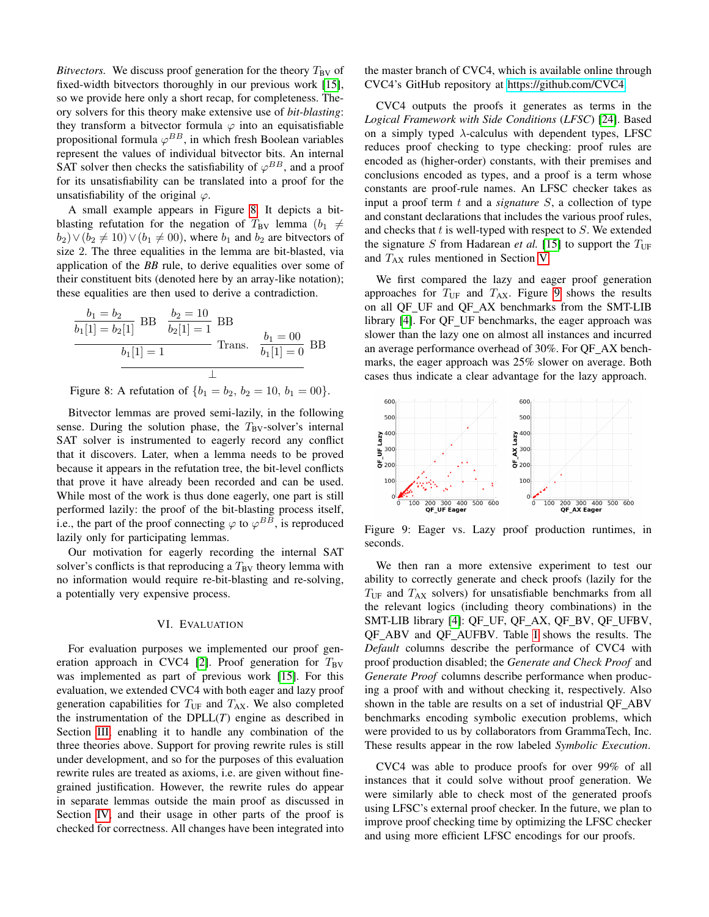*Bitvectors.* We discuss proof generation for the theory  $T_{BV}$  of fixed-width bitvectors thoroughly in our previous work [\[15\]](#page-7-5), so we provide here only a short recap, for completeness. Theory solvers for this theory make extensive use of *bit-blasting*: they transform a bitvector formula  $\varphi$  into an equisatisfiable propositional formula  $\varphi^{BB}$ , in which fresh Boolean variables represent the values of individual bitvector bits. An internal SAT solver then checks the satisfiability of  $\varphi^{BB}$ , and a proof for its unsatisfiability can be translated into a proof for the unsatisfiability of the original  $\varphi$ .

A small example appears in Figure [8.](#page-6-1) It depicts a bitblasting refutation for the negation of  $T_{\rm BV}$  lemma  $(b_1 \neq b_2)$  $(b_2) \vee (b_2 \neq 10) \vee (b_1 \neq 00)$ , where  $b_1$  and  $b_2$  are bitvectors of size 2. The three equalities in the lemma are bit-blasted, via application of the *BB* rule, to derive equalities over some of their constituent bits (denoted here by an array-like notation); these equalities are then used to derive a contradiction.

<span id="page-6-1"></span>
$$
\frac{b_1 = b_2}{b_1[1] = b_2[1]} \text{ BB} \quad \frac{b_2 = 10}{b_2[1] = 1} \text{ BB}
$$
  

$$
\frac{b_1 = 00}{b_1[1] = 1} \text{ Trans.} \quad \frac{b_1 = 00}{b_1[1] = 0} \text{ BB}
$$

Figure 8: A refutation of  ${b_1 = b_2, b_2 = 10, b_1 = 00}.$ 

Bitvector lemmas are proved semi-lazily, in the following sense. During the solution phase, the  $T_{\rm BV}$ -solver's internal SAT solver is instrumented to eagerly record any conflict that it discovers. Later, when a lemma needs to be proved because it appears in the refutation tree, the bit-level conflicts that prove it have already been recorded and can be used. While most of the work is thus done eagerly, one part is still performed lazily: the proof of the bit-blasting process itself, i.e., the part of the proof connecting  $\varphi$  to  $\varphi^{BB}$ , is reproduced lazily only for participating lemmas.

Our motivation for eagerly recording the internal SAT solver's conflicts is that reproducing a  $T_{\rm BV}$  theory lemma with no information would require re-bit-blasting and re-solving, a potentially very expensive process.

## VI. EVALUATION

<span id="page-6-0"></span>For evaluation purposes we implemented our proof gen-eration approach in CVC4 [\[2\]](#page-7-6). Proof generation for  $T_{\text{BV}}$ was implemented as part of previous work [\[15\]](#page-7-5). For this evaluation, we extended CVC4 with both eager and lazy proof generation capabilities for  $T_{\text{UF}}$  and  $T_{\text{AX}}$ . We also completed the instrumentation of the  $DPLL(T)$  engine as described in Section [III,](#page-2-0) enabling it to handle any combination of the three theories above. Support for proving rewrite rules is still under development, and so for the purposes of this evaluation rewrite rules are treated as axioms, i.e. are given without finegrained justification. However, the rewrite rules do appear in separate lemmas outside the main proof as discussed in Section [IV,](#page-4-0) and their usage in other parts of the proof is checked for correctness. All changes have been integrated into the master branch of CVC4, which is available online through CVC4's GitHub repository at [https://github.com/CVC4.](https://github.com/CVC4)

CVC4 outputs the proofs it generates as terms in the *Logical Framework with Side Conditions* (*LFSC*) [\[24\]](#page-7-22). Based on a simply typed  $\lambda$ -calculus with dependent types, LFSC reduces proof checking to type checking: proof rules are encoded as (higher-order) constants, with their premises and conclusions encoded as types, and a proof is a term whose constants are proof-rule names. An LFSC checker takes as input a proof term t and a *signature* S, a collection of type and constant declarations that includes the various proof rules, and checks that  $t$  is well-typed with respect to  $S$ . We extended the signature S from Hadarean *et al.* [\[15\]](#page-7-5) to support the  $T_{\text{UF}}$ and  $T_{AX}$  rules mentioned in Section [V.](#page-4-1)

We first compared the lazy and eager proof generation approaches for  $T_{\text{UF}}$  and  $T_{\text{AX}}$ . Figure [9](#page-6-2) shows the results on all QF\_UF and QF\_AX benchmarks from the SMT-LIB library [\[4\]](#page-7-7). For QF UF benchmarks, the eager approach was slower than the lazy one on almost all instances and incurred an average performance overhead of 30%. For QF AX benchmarks, the eager approach was 25% slower on average. Both cases thus indicate a clear advantage for the lazy approach.

<span id="page-6-2"></span>

Figure 9: Eager vs. Lazy proof production runtimes, in seconds.

We then ran a more extensive experiment to test our ability to correctly generate and check proofs (lazily for the  $T_{\text{UF}}$  and  $T_{\text{AX}}$  solvers) for unsatisfiable benchmarks from all the relevant logics (including theory combinations) in the SMT-LIB library [\[4\]](#page-7-7): QF UF, QF AX, QF BV, QF UFBV, QF ABV and QF AUFBV. Table [I](#page-7-23) shows the results. The *Default* columns describe the performance of CVC4 with proof production disabled; the *Generate and Check Proof* and *Generate Proof* columns describe performance when producing a proof with and without checking it, respectively. Also shown in the table are results on a set of industrial QF\_ABV benchmarks encoding symbolic execution problems, which were provided to us by collaborators from GrammaTech, Inc. These results appear in the row labeled *Symbolic Execution*.

CVC4 was able to produce proofs for over 99% of all instances that it could solve without proof generation. We were similarly able to check most of the generated proofs using LFSC's external proof checker. In the future, we plan to improve proof checking time by optimizing the LFSC checker and using more efficient LFSC encodings for our proofs.